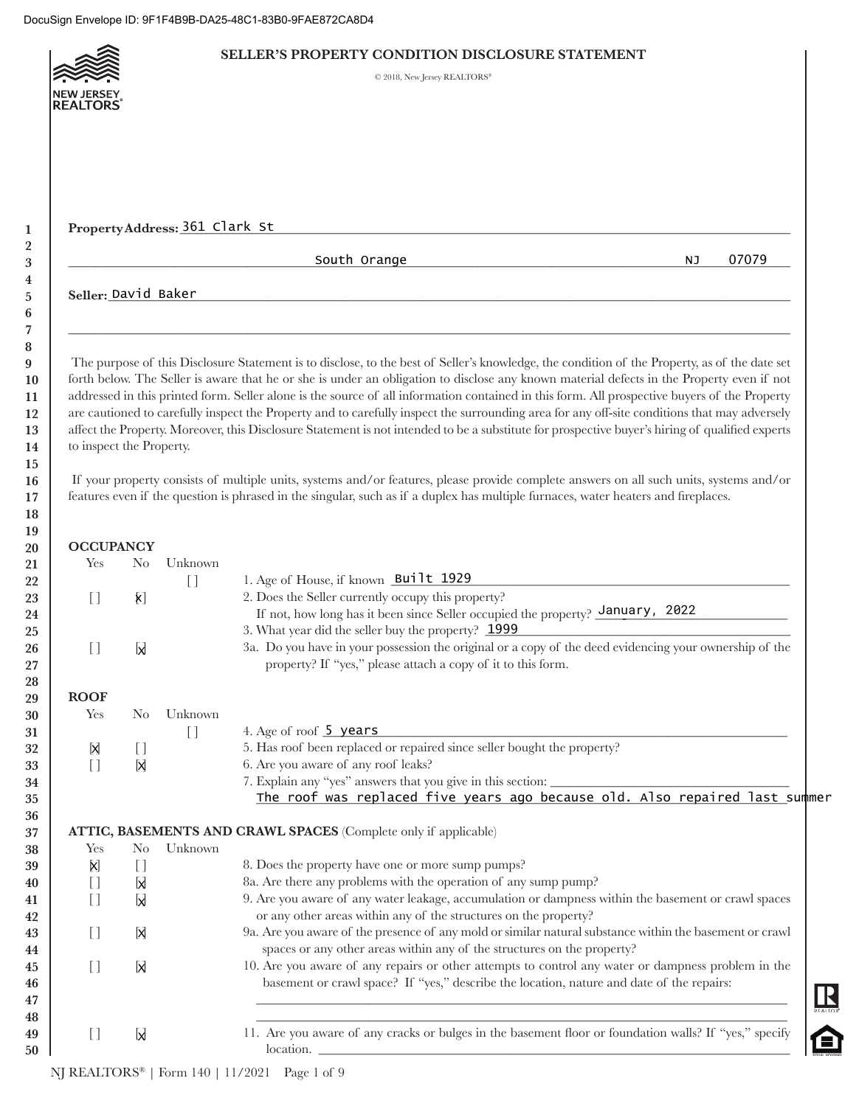| NEW JERSEY<br><b>RFALTORS</b>          |                                                     |                                | © 2018, New Jersey REALTORS®                                                                                                                                                                                                                                                                                                                                                                                                                                                                                                                                                                                                                                                                                                                  |    |       |
|----------------------------------------|-----------------------------------------------------|--------------------------------|-----------------------------------------------------------------------------------------------------------------------------------------------------------------------------------------------------------------------------------------------------------------------------------------------------------------------------------------------------------------------------------------------------------------------------------------------------------------------------------------------------------------------------------------------------------------------------------------------------------------------------------------------------------------------------------------------------------------------------------------------|----|-------|
|                                        |                                                     | Property Address: 361 Clark St |                                                                                                                                                                                                                                                                                                                                                                                                                                                                                                                                                                                                                                                                                                                                               |    |       |
| Seller: David Baker                    |                                                     |                                | South Orange                                                                                                                                                                                                                                                                                                                                                                                                                                                                                                                                                                                                                                                                                                                                  | ΝJ | 07079 |
|                                        |                                                     |                                |                                                                                                                                                                                                                                                                                                                                                                                                                                                                                                                                                                                                                                                                                                                                               |    |       |
| to inspect the Property.               |                                                     |                                | The purpose of this Disclosure Statement is to disclose, to the best of Seller's knowledge, the condition of the Property, as of the date set<br>forth below. The Seller is aware that he or she is under an obligation to disclose any known material defects in the Property even if not<br>addressed in this printed form. Seller alone is the source of all information contained in this form. All prospective buyers of the Property<br>are cautioned to carefully inspect the Property and to carefully inspect the surrounding area for any off-site conditions that may adversely<br>affect the Property. Moreover, this Disclosure Statement is not intended to be a substitute for prospective buyer's hiring of qualified experts |    |       |
|                                        |                                                     |                                | If your property consists of multiple units, systems and/or features, please provide complete answers on all such units, systems and/or<br>features even if the question is phrased in the singular, such as if a duplex has multiple furnaces, water heaters and fireplaces.                                                                                                                                                                                                                                                                                                                                                                                                                                                                 |    |       |
| <b>OCCUPANCY</b>                       |                                                     |                                |                                                                                                                                                                                                                                                                                                                                                                                                                                                                                                                                                                                                                                                                                                                                               |    |       |
| Yes                                    | N <sub>o</sub>                                      | Unknown                        |                                                                                                                                                                                                                                                                                                                                                                                                                                                                                                                                                                                                                                                                                                                                               |    |       |
| $\begin{array}{c} \square \end{array}$ | $\mathsf{k}]$                                       | $\Box$                         | 1. Age of House, if known Built 1929<br>2. Does the Seller currently occupy this property?<br>If not, how long has it been since Seller occupied the property? January, 2022<br>3. What year did the seller buy the property? 1999                                                                                                                                                                                                                                                                                                                                                                                                                                                                                                            |    |       |
| IJ                                     | K                                                   |                                | 3a. Do you have in your possession the original or a copy of the deed evidencing your ownership of the<br>property? If "yes," please attach a copy of it to this form.                                                                                                                                                                                                                                                                                                                                                                                                                                                                                                                                                                        |    |       |
| <b>ROOF</b>                            |                                                     |                                |                                                                                                                                                                                                                                                                                                                                                                                                                                                                                                                                                                                                                                                                                                                                               |    |       |
| Yes                                    | N <sub>o</sub>                                      | Unknown                        |                                                                                                                                                                                                                                                                                                                                                                                                                                                                                                                                                                                                                                                                                                                                               |    |       |
|                                        |                                                     | $[$                            | 4. Age of roof 5 years                                                                                                                                                                                                                                                                                                                                                                                                                                                                                                                                                                                                                                                                                                                        |    |       |
| X<br>$\lceil$                          | $[$<br>X                                            |                                | 5. Has roof been replaced or repaired since seller bought the property?<br>6. Are you aware of any roof leaks?                                                                                                                                                                                                                                                                                                                                                                                                                                                                                                                                                                                                                                |    |       |
|                                        |                                                     |                                | 7. Explain any "yes" answers that you give in this section: _____________________<br>The roof was replaced five years ago because old. Also repaired last summer                                                                                                                                                                                                                                                                                                                                                                                                                                                                                                                                                                              |    |       |
| Yes                                    |                                                     | Unknown                        | ATTIC, BASEMENTS AND CRAWL SPACES (Complete only if applicable)                                                                                                                                                                                                                                                                                                                                                                                                                                                                                                                                                                                                                                                                               |    |       |
| <b>X</b>                               | N <sub>o</sub><br>$\begin{bmatrix} 1 \end{bmatrix}$ |                                | 8. Does the property have one or more sump pumps?                                                                                                                                                                                                                                                                                                                                                                                                                                                                                                                                                                                                                                                                                             |    |       |
| IJ                                     | N                                                   |                                | 8a. Are there any problems with the operation of any sump pump?                                                                                                                                                                                                                                                                                                                                                                                                                                                                                                                                                                                                                                                                               |    |       |
| $\begin{array}{c} \square \end{array}$ | <b>N</b>                                            |                                | 9. Are you aware of any water leakage, accumulation or dampness within the basement or crawl spaces<br>or any other areas within any of the structures on the property?<br>9a. Are you aware of the presence of any mold or similar natural substance within the basement or crawl                                                                                                                                                                                                                                                                                                                                                                                                                                                            |    |       |
| $\begin{array}{c} \square \end{array}$ | X                                                   |                                | spaces or any other areas within any of the structures on the property?                                                                                                                                                                                                                                                                                                                                                                                                                                                                                                                                                                                                                                                                       |    |       |
| $\begin{array}{c} \square \end{array}$ | X                                                   |                                | 10. Are you aware of any repairs or other attempts to control any water or dampness problem in the<br>basement or crawl space? If "yes," describe the location, nature and date of the repairs:                                                                                                                                                                                                                                                                                                                                                                                                                                                                                                                                               |    |       |
|                                        |                                                     |                                | <u> 1989 - Johann Stoff, amerikansk politiker (d. 1989)</u>                                                                                                                                                                                                                                                                                                                                                                                                                                                                                                                                                                                                                                                                                   |    |       |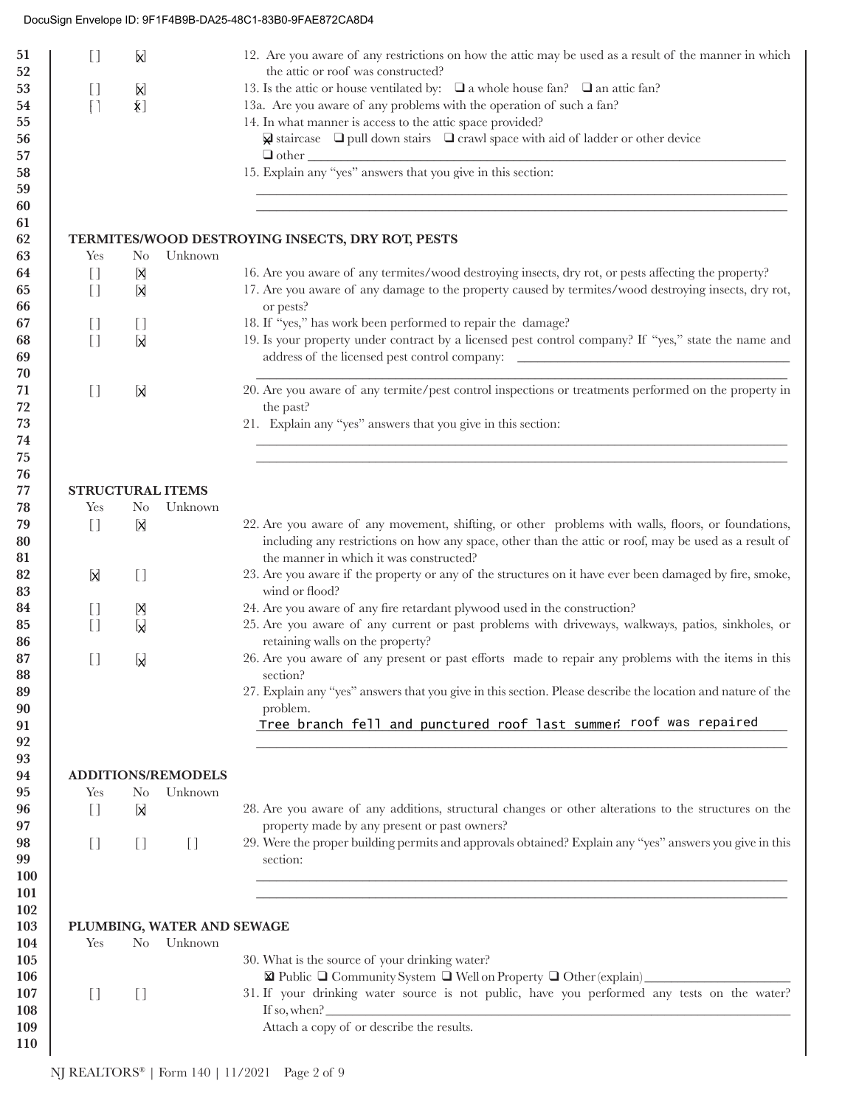| $\begin{array}{c} \square \end{array}$ | <b>X</b>           |                                        | 12. Are you aware of any restrictions on how the attic may be used as a result of the manner in which                                                                                                                                                                                                          |
|----------------------------------------|--------------------|----------------------------------------|----------------------------------------------------------------------------------------------------------------------------------------------------------------------------------------------------------------------------------------------------------------------------------------------------------------|
|                                        |                    |                                        | the attic or roof was constructed?                                                                                                                                                                                                                                                                             |
| $[ \ ]$                                | <b>X</b>           |                                        | 13. Is the attic or house ventilated by: $\Box$ a whole house fan? $\Box$ an attic fan?                                                                                                                                                                                                                        |
| $\lceil \rceil$                        | $\{ \mathbf{x} \}$ |                                        | 13a. Are you aware of any problems with the operation of such a fan?                                                                                                                                                                                                                                           |
|                                        |                    |                                        | 14. In what manner is access to the attic space provided?                                                                                                                                                                                                                                                      |
|                                        |                    |                                        | $\mathbf{\mathbb{Q}}$ staircase $\Box$ pull down stairs $\Box$ crawl space with aid of ladder or other device                                                                                                                                                                                                  |
|                                        |                    |                                        | $\Box$ other $\Box$<br>15. Explain any "yes" answers that you give in this section:                                                                                                                                                                                                                            |
|                                        |                    |                                        |                                                                                                                                                                                                                                                                                                                |
|                                        |                    |                                        |                                                                                                                                                                                                                                                                                                                |
|                                        |                    |                                        |                                                                                                                                                                                                                                                                                                                |
|                                        |                    |                                        | TERMITES/WOOD DESTROYING INSECTS, DRY ROT, PESTS                                                                                                                                                                                                                                                               |
| Yes                                    | N <sub>o</sub>     | Unknown                                |                                                                                                                                                                                                                                                                                                                |
| $[ \ ]$                                | X                  |                                        | 16. Are you aware of any termites/wood destroying insects, dry rot, or pests affecting the property?                                                                                                                                                                                                           |
| $[ ]$                                  | X                  |                                        | 17. Are you aware of any damage to the property caused by termites/wood destroying insects, dry rot,                                                                                                                                                                                                           |
|                                        |                    |                                        | or pests?                                                                                                                                                                                                                                                                                                      |
| $[ \ ]$                                | $[ \ ]$            |                                        | 18. If "yes," has work been performed to repair the damage?                                                                                                                                                                                                                                                    |
| $[ \ ]$                                | N                  |                                        | 19. Is your property under contract by a licensed pest control company? If "yes," state the name and                                                                                                                                                                                                           |
|                                        |                    |                                        |                                                                                                                                                                                                                                                                                                                |
|                                        |                    |                                        |                                                                                                                                                                                                                                                                                                                |
| $\begin{array}{c} \square \end{array}$ | X                  |                                        | 20. Are you aware of any termite/pest control inspections or treatments performed on the property in                                                                                                                                                                                                           |
|                                        |                    |                                        | the past?<br>21. Explain any "yes" answers that you give in this section:                                                                                                                                                                                                                                      |
|                                        |                    |                                        |                                                                                                                                                                                                                                                                                                                |
|                                        |                    |                                        |                                                                                                                                                                                                                                                                                                                |
|                                        |                    |                                        |                                                                                                                                                                                                                                                                                                                |
| <b>STRUCTURAL ITEMS</b>                |                    |                                        |                                                                                                                                                                                                                                                                                                                |
| Yes                                    | N <sub>0</sub>     | Unknown                                |                                                                                                                                                                                                                                                                                                                |
| $[ \ ]$                                | X                  |                                        | 22. Are you aware of any movement, shifting, or other problems with walls, floors, or foundations,                                                                                                                                                                                                             |
|                                        |                    |                                        | including any restrictions on how any space, other than the attic or roof, may be used as a result of                                                                                                                                                                                                          |
|                                        |                    |                                        |                                                                                                                                                                                                                                                                                                                |
|                                        |                    |                                        | the manner in which it was constructed?                                                                                                                                                                                                                                                                        |
| X                                      | $[ \ ]$            |                                        |                                                                                                                                                                                                                                                                                                                |
|                                        |                    |                                        | 23. Are you aware if the property or any of the structures on it have ever been damaged by fire, smoke,<br>wind or flood?                                                                                                                                                                                      |
| []                                     | Ŋ                  |                                        | 24. Are you aware of any fire retardant plywood used in the construction?                                                                                                                                                                                                                                      |
| $\Box$                                 | N                  |                                        | 25. Are you aware of any current or past problems with driveways, walkways, patios, sinkholes, or                                                                                                                                                                                                              |
|                                        |                    |                                        | retaining walls on the property?                                                                                                                                                                                                                                                                               |
| $[$                                    | M                  |                                        |                                                                                                                                                                                                                                                                                                                |
|                                        |                    |                                        | section?                                                                                                                                                                                                                                                                                                       |
|                                        |                    |                                        | problem.                                                                                                                                                                                                                                                                                                       |
|                                        |                    |                                        | Tree branch fell and punctured roof last summer roof was repaired                                                                                                                                                                                                                                              |
|                                        |                    |                                        |                                                                                                                                                                                                                                                                                                                |
|                                        |                    |                                        | 26. Are you aware of any present or past efforts made to repair any problems with the items in this<br>27. Explain any "yes" answers that you give in this section. Please describe the location and nature of the                                                                                             |
|                                        |                    | <b>ADDITIONS/REMODELS</b>              |                                                                                                                                                                                                                                                                                                                |
| Yes                                    | N <sub>0</sub>     | Unknown                                |                                                                                                                                                                                                                                                                                                                |
| $\begin{array}{c} \square \end{array}$ | X                  |                                        |                                                                                                                                                                                                                                                                                                                |
|                                        |                    |                                        | property made by any present or past owners?                                                                                                                                                                                                                                                                   |
| $[$                                    | $[ \ ]$            | $\begin{array}{c} \square \end{array}$ |                                                                                                                                                                                                                                                                                                                |
|                                        |                    |                                        | section:                                                                                                                                                                                                                                                                                                       |
|                                        |                    |                                        |                                                                                                                                                                                                                                                                                                                |
|                                        |                    |                                        |                                                                                                                                                                                                                                                                                                                |
|                                        |                    | PLUMBING, WATER AND SEWAGE             |                                                                                                                                                                                                                                                                                                                |
| Yes                                    | N <sub>0</sub>     | Unknown                                |                                                                                                                                                                                                                                                                                                                |
|                                        |                    |                                        | 30. What is the source of your drinking water?                                                                                                                                                                                                                                                                 |
|                                        |                    |                                        | $\textbf{Q} \ \text{Public} \ \textcolor{red}{\Box} \ \text{Commutity}\ \text{System} \ \textcolor{red}{\Box} \ \text{Well on Property} \ \textcolor{red}{\Box} \ \text{Other} \ \text{(explain)} \ \textcolor{red}{\underline{\hspace{2cm}} \blacksquare}$                                                    |
| $[ \ ]$                                | $[$                |                                        | 28. Are you aware of any additions, structural changes or other alterations to the structures on the<br>29. Were the proper building permits and approvals obtained? Explain any "yes" answers you give in this<br>31. If your drinking water source is not public, have you performed any tests on the water? |
|                                        |                    |                                        | Attach a copy of or describe the results.                                                                                                                                                                                                                                                                      |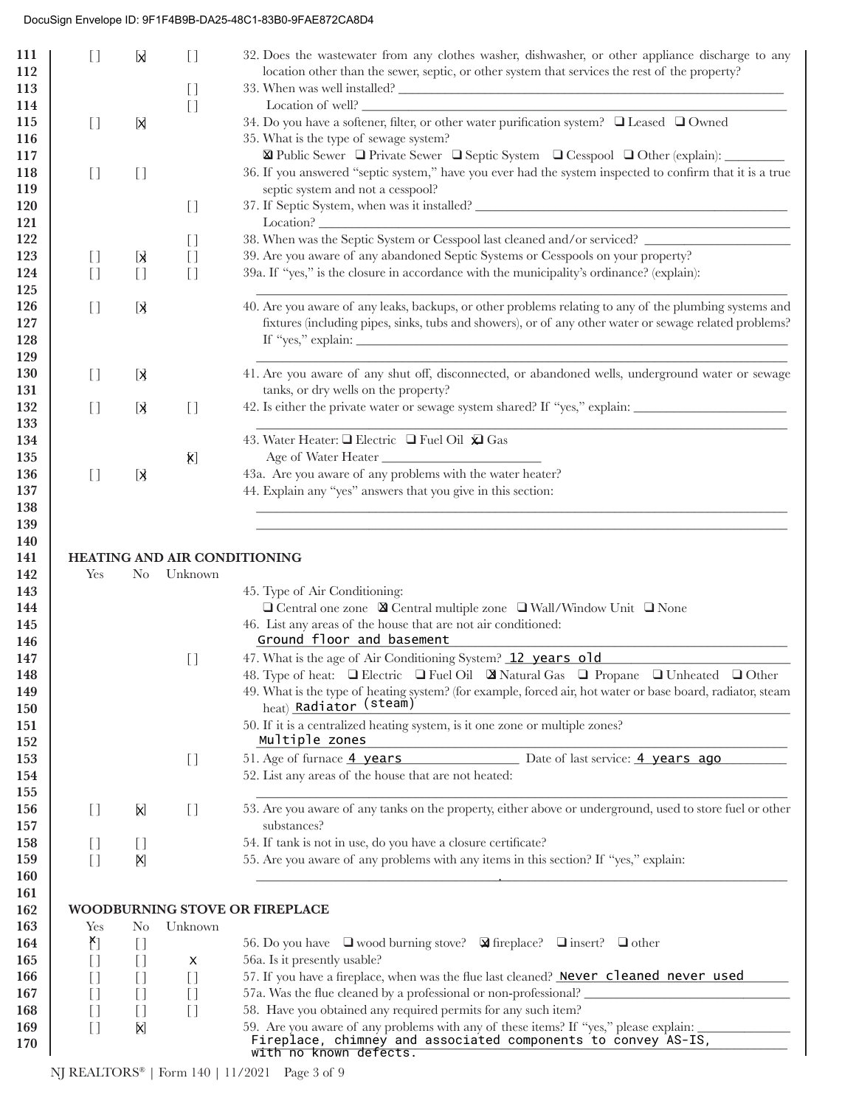| 112        | $[ \ ]$                                | X                                   | $[$                                    | 32. Does the wastewater from any clothes washer, dishwasher, or other appliance discharge to any                                                          |
|------------|----------------------------------------|-------------------------------------|----------------------------------------|-----------------------------------------------------------------------------------------------------------------------------------------------------------|
|            |                                        |                                     |                                        | location other than the sewer, septic, or other system that services the rest of the property?                                                            |
| 113        |                                        |                                     | $[$                                    |                                                                                                                                                           |
| 114        |                                        |                                     | $[ \ ]$                                |                                                                                                                                                           |
| 115        | $[ \ ]$                                | X                                   |                                        | 34. Do you have a softener, filter, or other water purification system? □ Leased □ Owned                                                                  |
| 116        |                                        |                                     |                                        | 35. What is the type of sewage system?                                                                                                                    |
| 117        |                                        |                                     |                                        | $\boxtimes$ Public Sewer $\Box$ Private Sewer $\Box$ Septic System $\Box$ Cesspool $\Box$ Other (explain):                                                |
| 118        | $[ \ ]$                                | $[ \ ]$                             |                                        | 36. If you answered "septic system," have you ever had the system inspected to confirm that it is a true                                                  |
| 119        |                                        |                                     |                                        | septic system and not a cesspool?                                                                                                                         |
| 120        |                                        |                                     | $[$                                    |                                                                                                                                                           |
| 121        |                                        |                                     |                                        |                                                                                                                                                           |
| 122        |                                        |                                     | $\begin{array}{c} \square \end{array}$ | 38. When was the Septic System or Cesspool last cleaned and/or serviced? ___________________________                                                      |
| 123        | $\begin{bmatrix} 1 \end{bmatrix}$      | [X                                  | $[ \ ]$                                | 39. Are you aware of any abandoned Septic Systems or Cesspools on your property?                                                                          |
| 124        | $[ \ ]$                                | $[ \ ]$                             | $[$                                    | 39a. If "yes," is the closure in accordance with the municipality's ordinance? (explain):                                                                 |
| 125        |                                        |                                     |                                        |                                                                                                                                                           |
| 126        | $[ \ ]$                                | [X                                  |                                        | 40. Are you aware of any leaks, backups, or other problems relating to any of the plumbing systems and                                                    |
| 127        |                                        |                                     |                                        | fixtures (including pipes, sinks, tubs and showers), or of any other water or sewage related problems?                                                    |
| 128        |                                        |                                     |                                        |                                                                                                                                                           |
| 129        |                                        |                                     |                                        |                                                                                                                                                           |
| 130        | $\begin{array}{c} \square \end{array}$ | [X                                  |                                        | 41. Are you aware of any shut off, disconnected, or abandoned wells, underground water or sewage                                                          |
| 131        |                                        |                                     |                                        | tanks, or dry wells on the property?                                                                                                                      |
| 132        | $[ \ ]$                                | [X                                  | $[$                                    | 42. Is either the private water or sewage system shared? If "yes," explain:                                                                               |
| 133        |                                        |                                     |                                        |                                                                                                                                                           |
| 134        |                                        |                                     |                                        | 43. Water Heater: □ Electric □ Fuel Oil 幻 Gas                                                                                                             |
| 135<br>136 |                                        |                                     | $\mathsf{k}$                           | Age of Water Heater<br>43a. Are you aware of any problems with the water heater?                                                                          |
| 137        | $[ \ ]$                                | [X                                  |                                        | 44. Explain any "yes" answers that you give in this section:                                                                                              |
| 138        |                                        |                                     |                                        |                                                                                                                                                           |
| 139        |                                        |                                     |                                        |                                                                                                                                                           |
|            |                                        |                                     |                                        |                                                                                                                                                           |
|            |                                        |                                     |                                        |                                                                                                                                                           |
| 140        |                                        |                                     |                                        |                                                                                                                                                           |
| 141        | Yes                                    | No.                                 |                                        | HEATING AND AIR CONDITIONING                                                                                                                              |
| 142<br>143 |                                        |                                     | Unknown                                |                                                                                                                                                           |
|            |                                        |                                     |                                        | 45. Type of Air Conditioning:                                                                                                                             |
| 144<br>145 |                                        |                                     |                                        | $\Box$ Central one zone $\Box$ Central multiple zone $\Box$ Wall/Window Unit $\Box$ None<br>46. List any areas of the house that are not air conditioned: |
| 146        |                                        |                                     |                                        | Ground floor and basement                                                                                                                                 |
| 147        |                                        |                                     |                                        | 47. What is the age of Air Conditioning System? 12 years old                                                                                              |
| 148        |                                        |                                     | $\begin{array}{c} \square \end{array}$ | 48. Type of heat: Q Electric Q Fuel Oil Q Natural Gas Q Propane Q Unheated Q Other                                                                        |
| 149        |                                        |                                     |                                        | 49. What is the type of heating system? (for example, forced air, hot water or base board, radiator, steam                                                |
| <b>150</b> |                                        |                                     |                                        | $_{\text{heat}}$ Radiator (steam)                                                                                                                         |
| 151        |                                        |                                     |                                        | 50. If it is a centralized heating system, is it one zone or multiple zones?                                                                              |
| 152        |                                        |                                     |                                        | Multiple zones                                                                                                                                            |
| 153        |                                        |                                     | $\begin{array}{c} \square \end{array}$ | 51. Age of furnace 4 years Date of last service: 4 years ago                                                                                              |
| 154        |                                        |                                     |                                        | 52. List any areas of the house that are not heated:                                                                                                      |
| 155        |                                        |                                     |                                        |                                                                                                                                                           |
| 156        | $\begin{array}{c} \square \end{array}$ | X                                   | $\begin{array}{c} \square \end{array}$ | 53. Are you aware of any tanks on the property, either above or underground, used to store fuel or other                                                  |
| 157        |                                        |                                     |                                        | substances?                                                                                                                                               |
| 158        | $\begin{array}{c} \square \end{array}$ | $[ \ ]$                             |                                        | 54. If tank is not in use, do you have a closure certificate?                                                                                             |
| 159        | $[ \ ]$                                | X                                   |                                        | 55. Are you aware of any problems with any items in this section? If "yes," explain:                                                                      |
| 160        |                                        |                                     |                                        | and a state of the same of the analysis applied                                                                                                           |
| 161        |                                        |                                     |                                        |                                                                                                                                                           |
| 162        |                                        |                                     |                                        | <b>WOODBURNING STOVE OR FIREPLACE</b>                                                                                                                     |
| 163        | Yes                                    | N <sub>0</sub>                      | Unknown                                |                                                                                                                                                           |
| 164        | Ł)                                     | $[ \ ]$                             |                                        | 56. Do you have $\Box$ wood burning stove? $\Box$ fireplace? $\Box$ insert? $\Box$ other                                                                  |
| 165        | []                                     | $[ \ ]$                             | X                                      | 56a. Is it presently usable?                                                                                                                              |
| 166        | []                                     | $\left[\!\left[ \ \right]\!\right]$ | $[ ]$                                  | 57. If you have a fireplace, when was the flue last cleaned? Never cleaned never used                                                                     |
| 167        | []                                     | $[ \ ]$                             | $[ \ ]$                                | 57a. Was the flue cleaned by a professional or non-professional?                                                                                          |
| 168        | []                                     | $[ \ ]$                             | $[ ]$                                  | 58. Have you obtained any required permits for any such item?                                                                                             |
| 169<br>170 | $\left[\!\left[ \right]\!\right]$      | X                                   |                                        | 59. Are you aware of any problems with any of these items? If "yes," please explain:<br>Fireplace, chimney and associated components to convey AS-IS,     |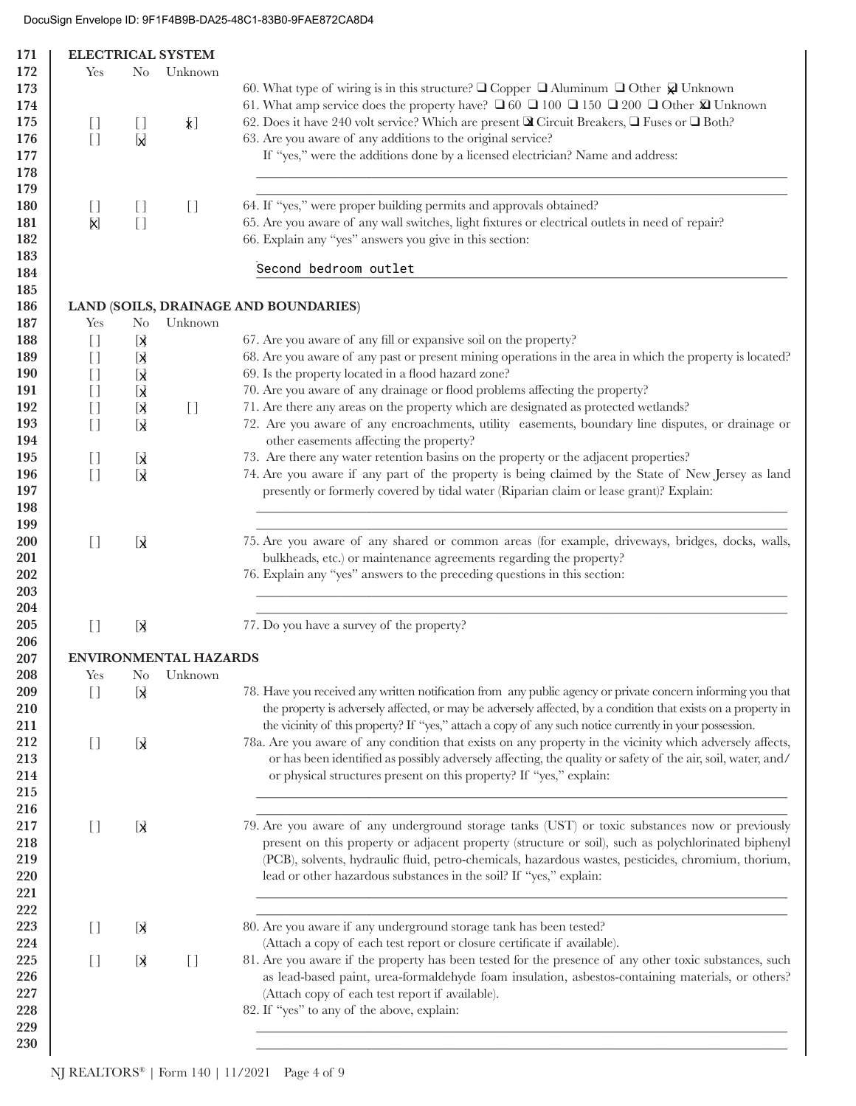|                                        |                                   | <b>ELECTRICAL SYSTEM</b>          |                                                                                                                                             |
|----------------------------------------|-----------------------------------|-----------------------------------|---------------------------------------------------------------------------------------------------------------------------------------------|
| Yes                                    | $\rm No$                          | Unknown                           |                                                                                                                                             |
|                                        |                                   |                                   | 60. What type of wiring is in this structure? $\square$ Copper $\square$ Aluminum $\square$ Other $\overline{\mathbf{\mathcal{Q}}}$ Unknown |
|                                        |                                   |                                   | 61. What amp service does the property have? $\Box$ 60 $\Box$ 100 $\Box$ 150 $\Box$ 200 $\Box$ Other $\Box$ Unknown                         |
| $\begin{bmatrix} 1 \end{bmatrix}$      | $\lfloor \ \rfloor$               | $\mathbf{x}$ ]                    | 62. Does it have 240 volt service? Which are present <b>Q</b> Circuit Breakers, <b>Q</b> Fuses or <b>Q</b> Both?                            |
| $[$                                    | N                                 |                                   | 63. Are you aware of any additions to the original service?                                                                                 |
|                                        |                                   |                                   | If "yes," were the additions done by a licensed electrician? Name and address:                                                              |
|                                        |                                   |                                   |                                                                                                                                             |
|                                        |                                   |                                   |                                                                                                                                             |
| $\begin{array}{c} \square \end{array}$ | $\begin{bmatrix} 1 \end{bmatrix}$ | $\begin{bmatrix} 1 \end{bmatrix}$ | 64. If "yes," were proper building permits and approvals obtained?                                                                          |
| $\mathsf{X}$                           | $[ \ ]$                           |                                   | 65. Are you aware of any wall switches, light fixtures or electrical outlets in need of repair?                                             |
|                                        |                                   |                                   | 66. Explain any "yes" answers you give in this section:                                                                                     |
|                                        |                                   |                                   | Second bedroom outlet                                                                                                                       |
|                                        |                                   |                                   | LAND (SOILS, DRAINAGE AND BOUNDARIES)                                                                                                       |
| Yes                                    | $\rm No$                          | Unknown                           |                                                                                                                                             |
| $\begin{array}{c} \square \end{array}$ | [X                                |                                   | 67. Are you aware of any fill or expansive soil on the property?                                                                            |
| $\begin{array}{c} \square \end{array}$ | [X                                |                                   | 68. Are you aware of any past or present mining operations in the area in which the property is located?                                    |
| $[ \ ]$                                | $\lambda$                         |                                   | 69. Is the property located in a flood hazard zone?                                                                                         |
| $[ \ ]$                                | [X                                |                                   | 70. Are you aware of any drainage or flood problems affecting the property?                                                                 |
| $[ \ ]$                                | [X                                | $[$                               | 71. Are there any areas on the property which are designated as protected wetlands?                                                         |
|                                        |                                   |                                   | 72. Are you aware of any encroachments, utility easements, boundary line disputes, or drainage or                                           |
| $[ ]$                                  | [X                                |                                   |                                                                                                                                             |
|                                        |                                   |                                   | other easements affecting the property?                                                                                                     |
| $[$                                    | <b>IX</b>                         |                                   | 73. Are there any water retention basins on the property or the adjacent properties?                                                        |
| $[$                                    | $\mathbf{A}$                      |                                   | 74. Are you aware if any part of the property is being claimed by the State of New Jersey as land                                           |
|                                        |                                   |                                   | presently or formerly covered by tidal water (Riparian claim or lease grant)? Explain:                                                      |
|                                        |                                   |                                   |                                                                                                                                             |
| $\begin{bmatrix} 1 \end{bmatrix}$      | <b>X</b>                          |                                   | 75. Are you aware of any shared or common areas (for example, driveways, bridges, docks, walls,                                             |
|                                        |                                   |                                   | bulkheads, etc.) or maintenance agreements regarding the property?                                                                          |
|                                        |                                   |                                   | 76. Explain any "yes" answers to the preceding questions in this section:                                                                   |
|                                        |                                   |                                   |                                                                                                                                             |
|                                        |                                   |                                   |                                                                                                                                             |
| $\begin{array}{c} \square \end{array}$ | [X                                |                                   | 77. Do you have a survey of the property?                                                                                                   |
|                                        |                                   | <b>ENVIRONMENTAL HAZARDS</b>      |                                                                                                                                             |
| Yes                                    |                                   | No Unknown                        |                                                                                                                                             |
| $[$                                    | [X                                |                                   | 78. Have you received any written notification from any public agency or private concern informing you that                                 |
|                                        |                                   |                                   | the property is adversely affected, or may be adversely affected, by a condition that exists on a property in                               |
|                                        |                                   |                                   | the vicinity of this property? If "yes," attach a copy of any such notice currently in your possession.                                     |
| $\begin{bmatrix} 1 \end{bmatrix}$      | <b>X</b>                          |                                   | 78a. Are you aware of any condition that exists on any property in the vicinity which adversely affects,                                    |
|                                        |                                   |                                   | or has been identified as possibly adversely affecting, the quality or safety of the air, soil, water, and/                                 |
|                                        |                                   |                                   | or physical structures present on this property? If "yes," explain:                                                                         |
|                                        |                                   |                                   |                                                                                                                                             |
|                                        |                                   |                                   |                                                                                                                                             |
| $\begin{bmatrix} 1 \end{bmatrix}$      | [X                                |                                   | 79. Are you aware of any underground storage tanks (UST) or toxic substances now or previously                                              |
|                                        |                                   |                                   | present on this property or adjacent property (structure or soil), such as polychlorinated biphenyl                                         |
|                                        |                                   |                                   | (PCB), solvents, hydraulic fluid, petro-chemicals, hazardous wastes, pesticides, chromium, thorium,                                         |
|                                        |                                   |                                   | lead or other hazardous substances in the soil? If "yes," explain:                                                                          |
|                                        |                                   |                                   |                                                                                                                                             |
|                                        |                                   |                                   |                                                                                                                                             |
| $\begin{bmatrix} 1 \end{bmatrix}$      | [X                                |                                   | 80. Are you aware if any underground storage tank has been tested?                                                                          |
|                                        |                                   |                                   | (Attach a copy of each test report or closure certificate if available).                                                                    |
|                                        |                                   |                                   | 81. Are you aware if the property has been tested for the presence of any other toxic substances, such                                      |
| $[ \ ]$                                | [X]                               | $[$                               |                                                                                                                                             |
|                                        |                                   |                                   | as lead-based paint, urea-formaldehyde foam insulation, asbestos-containing materials, or others?                                           |
|                                        |                                   |                                   | (Attach copy of each test report if available).                                                                                             |
|                                        |                                   |                                   | 82. If "yes" to any of the above, explain:                                                                                                  |
|                                        |                                   |                                   |                                                                                                                                             |
|                                        |                                   |                                   |                                                                                                                                             |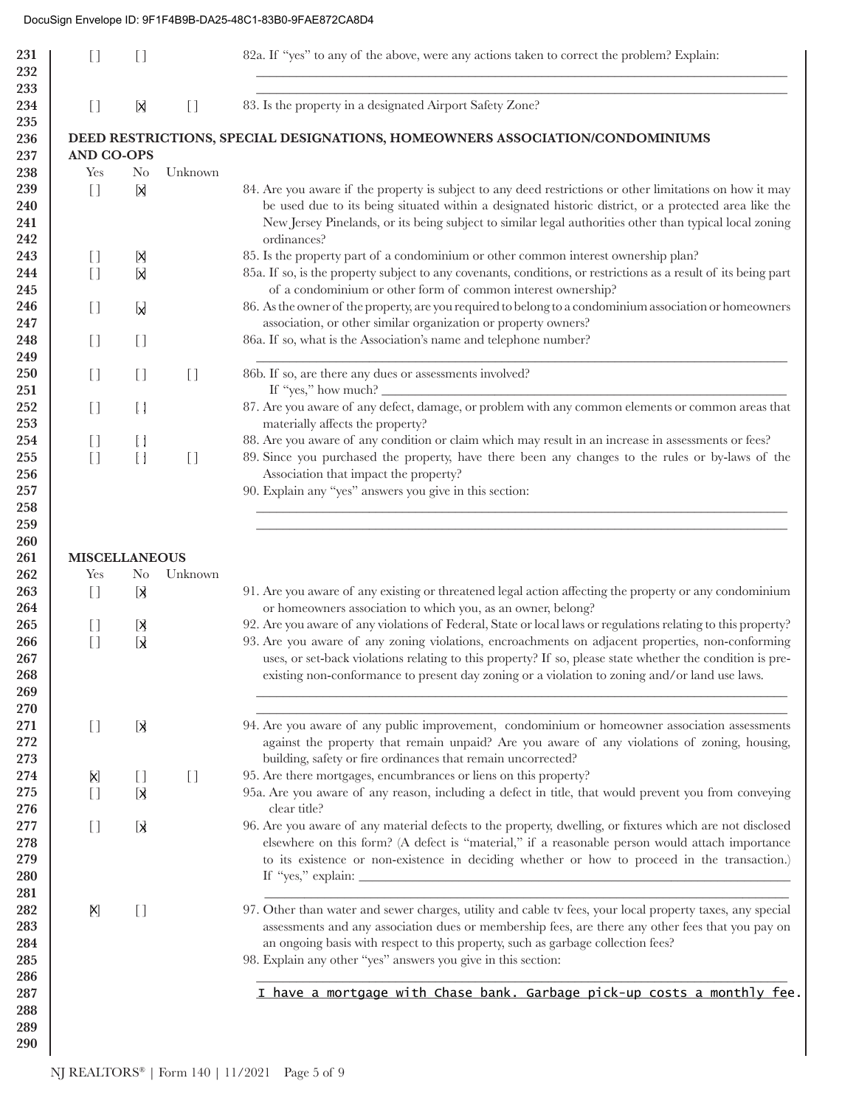| 231<br>232 | $[$                               | $\mathsf{L}$                                                |                                        | 82a. If "yes" to any of the above, were any actions taken to correct the problem? Explain:                                                                                                                        |
|------------|-----------------------------------|-------------------------------------------------------------|----------------------------------------|-------------------------------------------------------------------------------------------------------------------------------------------------------------------------------------------------------------------|
| 233<br>234 | $[ \ ]$                           | X                                                           | $\begin{array}{c} \square \end{array}$ | 83. Is the property in a designated Airport Safety Zone?                                                                                                                                                          |
| 235        |                                   |                                                             |                                        |                                                                                                                                                                                                                   |
| 236        |                                   |                                                             |                                        | DEED RESTRICTIONS, SPECIAL DESIGNATIONS, HOMEOWNERS ASSOCIATION/CONDOMINIUMS                                                                                                                                      |
| 237        | <b>AND CO-OPS</b>                 |                                                             |                                        |                                                                                                                                                                                                                   |
| 238        | Yes                               | N <sub>o</sub>                                              | Unknown                                |                                                                                                                                                                                                                   |
| 239<br>240 | $[$                               | X                                                           |                                        | 84. Are you aware if the property is subject to any deed restrictions or other limitations on how it may<br>be used due to its being situated within a designated historic district, or a protected area like the |
| 241        |                                   |                                                             |                                        | New Jersey Pinelands, or its being subject to similar legal authorities other than typical local zoning                                                                                                           |
| 242        |                                   |                                                             |                                        | ordinances?                                                                                                                                                                                                       |
| 243        | $\begin{bmatrix} 1 \end{bmatrix}$ | X                                                           |                                        | 85. Is the property part of a condominium or other common interest ownership plan?                                                                                                                                |
| 244        | $[ \ ]$                           | X                                                           |                                        | 85a. If so, is the property subject to any covenants, conditions, or restrictions as a result of its being part                                                                                                   |
| 245        |                                   |                                                             |                                        | of a condominium or other form of common interest ownership?                                                                                                                                                      |
| 246        | $[ \ ]$                           | <b>N</b>                                                    |                                        | 86. As the owner of the property, are you required to belong to a condominium association or homeowners                                                                                                           |
| 247        |                                   |                                                             |                                        | association, or other similar organization or property owners?                                                                                                                                                    |
| 248        | $[ \ ]$                           | $[ \ ]$                                                     |                                        | 86a. If so, what is the Association's name and telephone number?                                                                                                                                                  |
| 249        |                                   |                                                             |                                        |                                                                                                                                                                                                                   |
| 250        | $[ \ ]$                           | $[ \ ]$                                                     | $\begin{array}{c} \square \end{array}$ | 86b. If so, are there any dues or assessments involved?<br>If "yes," how much? $\_\_$                                                                                                                             |
| 251<br>252 | $[ \ ]$                           | $\begin{array}{c} \begin{array}{c} \end{array} \end{array}$ |                                        | 87. Are you aware of any defect, damage, or problem with any common elements or common areas that                                                                                                                 |
| 253        |                                   |                                                             |                                        | materially affects the property?                                                                                                                                                                                  |
| 254        | $\begin{bmatrix} 1 \end{bmatrix}$ |                                                             |                                        | 88. Are you aware of any condition or claim which may result in an increase in assessments or fees?                                                                                                               |
| 255        | $[$                               | $\begin{array}{c} \begin{array}{c} \end{array} \end{array}$ | $[$                                    | 89. Since you purchased the property, have there been any changes to the rules or by-laws of the                                                                                                                  |
| 256        |                                   |                                                             |                                        | Association that impact the property?                                                                                                                                                                             |
| 257        |                                   |                                                             |                                        | 90. Explain any "yes" answers you give in this section:                                                                                                                                                           |
| 258        |                                   |                                                             |                                        |                                                                                                                                                                                                                   |
| 259        |                                   |                                                             |                                        |                                                                                                                                                                                                                   |
| 260<br>261 | <b>MISCELLANEOUS</b>              |                                                             |                                        |                                                                                                                                                                                                                   |
| 262        | Yes                               | N <sub>0</sub>                                              | Unknown                                |                                                                                                                                                                                                                   |
| 263        | $[$                               | [X                                                          |                                        | 91. Are you aware of any existing or threatened legal action affecting the property or any condominium                                                                                                            |
| 264        |                                   |                                                             |                                        | or homeowners association to which you, as an owner, belong?                                                                                                                                                      |
| 265        | $[ \ ]$                           | [X                                                          |                                        | 92. Are you aware of any violations of Federal, State or local laws or regulations relating to this property?                                                                                                     |
| 266        | $[ \ ]$                           | $\lambda$                                                   |                                        | 93. Are you aware of any zoning violations, encroachments on adjacent properties, non-conforming                                                                                                                  |
| 267        |                                   |                                                             |                                        | uses, or set-back violations relating to this property? If so, please state whether the condition is pre-                                                                                                         |
| 268        |                                   |                                                             |                                        | existing non-conformance to present day zoning or a violation to zoning and/or land use laws.                                                                                                                     |
| 269        |                                   |                                                             |                                        |                                                                                                                                                                                                                   |
| 270<br>271 | $[ \ ]$                           | [X]                                                         |                                        | 94. Are you aware of any public improvement, condominium or homeowner association assessments                                                                                                                     |
| 272        |                                   |                                                             |                                        | against the property that remain unpaid? Are you aware of any violations of zoning, housing,                                                                                                                      |
| 273        |                                   |                                                             |                                        | building, safety or fire ordinances that remain uncorrected?                                                                                                                                                      |
| 274        | <b>X</b>                          | $\begin{array}{c} \square \end{array}$                      | $\begin{array}{c} \square \end{array}$ | 95. Are there mortgages, encumbrances or liens on this property?                                                                                                                                                  |
| 275<br>276 | $[ \ ]$                           | [X]                                                         |                                        | 95a. Are you aware of any reason, including a defect in title, that would prevent you from conveying<br>clear title?                                                                                              |
| 277        | $[ \ ]$                           | [X]                                                         |                                        | 96. Are you aware of any material defects to the property, dwelling, or fixtures which are not disclosed                                                                                                          |
| 278        |                                   |                                                             |                                        | elsewhere on this form? (A defect is "material," if a reasonable person would attach importance                                                                                                                   |
| 279        |                                   |                                                             |                                        | to its existence or non-existence in deciding whether or how to proceed in the transaction.)                                                                                                                      |
| 280        |                                   |                                                             |                                        |                                                                                                                                                                                                                   |
| 281        |                                   |                                                             |                                        | 97. Other than water and sewer charges, utility and cable tv fees, your local property taxes, any special                                                                                                         |
| 282<br>283 | $\left[\mathsf{X}\right]$         | $[ \ ]$                                                     |                                        | assessments and any association dues or membership fees, are there any other fees that you pay on                                                                                                                 |
| 284        |                                   |                                                             |                                        | an ongoing basis with respect to this property, such as garbage collection fees?                                                                                                                                  |
| 285        |                                   |                                                             |                                        | 98. Explain any other "yes" answers you give in this section:                                                                                                                                                     |
| 286        |                                   |                                                             |                                        |                                                                                                                                                                                                                   |
| 287        |                                   |                                                             |                                        | I have a mortgage with Chase bank. Garbage pick-up costs a monthly fee.                                                                                                                                           |
| 288        |                                   |                                                             |                                        |                                                                                                                                                                                                                   |
| 289        |                                   |                                                             |                                        |                                                                                                                                                                                                                   |
| 290        |                                   |                                                             |                                        |                                                                                                                                                                                                                   |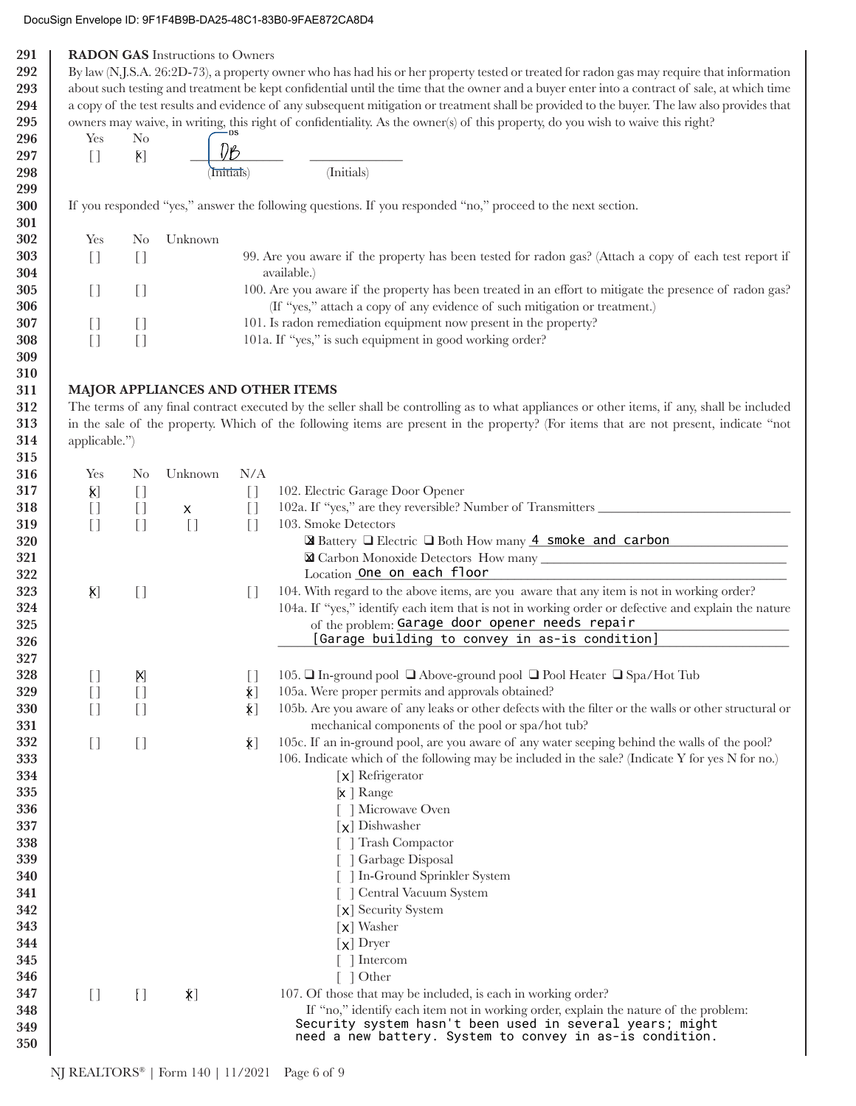| 291 |                                                |                                                | <b>RADON GAS</b> Instructions to Owners |                                        |                                                                                                                                                  |
|-----|------------------------------------------------|------------------------------------------------|-----------------------------------------|----------------------------------------|--------------------------------------------------------------------------------------------------------------------------------------------------|
| 292 |                                                |                                                |                                         |                                        | By law (N.J.S.A. 26:2D-73), a property owner who has had his or her property tested or treated for radon gas may require that information        |
| 293 |                                                |                                                |                                         |                                        | about such testing and treatment be kept confidential until the time that the owner and a buyer enter into a contract of sale, at which time     |
| 294 |                                                |                                                |                                         |                                        | a copy of the test results and evidence of any subsequent mitigation or treatment shall be provided to the buyer. The law also provides that     |
| 295 |                                                |                                                |                                         |                                        | owners may waive, in writing, this right of confidentiality. As the owner(s) of this property, do you wish to waive this right?                  |
| 296 | Yes                                            | N <sub>0</sub>                                 |                                         |                                        |                                                                                                                                                  |
| 297 | $[ \ ]$                                        | $\left[\!\!\left[\mathsf{X}\right]\!\!\right]$ |                                         |                                        |                                                                                                                                                  |
| 298 |                                                |                                                |                                         | Initials)                              | (Initials)                                                                                                                                       |
| 299 |                                                |                                                |                                         |                                        |                                                                                                                                                  |
| 300 |                                                |                                                |                                         |                                        | If you responded "yes," answer the following questions. If you responded "no," proceed to the next section.                                      |
| 301 |                                                |                                                |                                         |                                        |                                                                                                                                                  |
| 302 | Yes                                            | N <sub>0</sub>                                 | Unknown                                 |                                        |                                                                                                                                                  |
| 303 | $[ \ ]$                                        | $[ \ ]$                                        |                                         |                                        | 99. Are you aware if the property has been tested for radon gas? (Attach a copy of each test report if                                           |
| 304 |                                                |                                                |                                         |                                        | available.)                                                                                                                                      |
| 305 | $[ \ ]$                                        | $[ \ ]$                                        |                                         |                                        | 100. Are you aware if the property has been treated in an effort to mitigate the presence of radon gas?                                          |
| 306 |                                                |                                                |                                         |                                        | (If "yes," attach a copy of any evidence of such mitigation or treatment.)                                                                       |
| 307 | $[ \ ]$                                        | $[ \ ]$                                        |                                         |                                        | 101. Is radon remediation equipment now present in the property?                                                                                 |
| 308 | $[ ]$                                          | $[ \ ]$                                        |                                         |                                        | 101a. If "yes," is such equipment in good working order?                                                                                         |
| 309 |                                                |                                                |                                         |                                        |                                                                                                                                                  |
| 310 |                                                |                                                |                                         |                                        |                                                                                                                                                  |
| 311 |                                                |                                                | MAJOR APPLIANCES AND OTHER ITEMS        |                                        |                                                                                                                                                  |
| 312 |                                                |                                                |                                         |                                        | The terms of any final contract executed by the seller shall be controlling as to what appliances or other items, if any, shall be included      |
| 313 |                                                |                                                |                                         |                                        | in the sale of the property. Which of the following items are present in the property? (For items that are not present, indicate "not            |
| 314 | applicable.")                                  |                                                |                                         |                                        |                                                                                                                                                  |
| 315 |                                                |                                                |                                         |                                        |                                                                                                                                                  |
| 316 | Yes                                            | N <sub>0</sub>                                 | Unknown                                 | N/A                                    |                                                                                                                                                  |
| 317 | $\mathsf{X}]$                                  | $[ \ ]$                                        |                                         | $\begin{array}{c} \square \end{array}$ | 102. Electric Garage Door Opener                                                                                                                 |
| 318 | $[ \ ]$                                        | $[ \ ]$                                        | $\mathsf X$                             | $\begin{array}{c} \square \end{array}$ | 102a. If "yes," are they reversible? Number of Transmitters                                                                                      |
| 319 | $[ \ ]$                                        | $[ \ ]$                                        | $\begin{bmatrix} 1 \end{bmatrix}$       | $\begin{bmatrix} 1 \end{bmatrix}$      | 103. Smoke Detectors                                                                                                                             |
| 320 |                                                |                                                |                                         |                                        | ⊠ Battery □ Electric □ Both How many 4 smoke and carbon                                                                                          |
| 321 |                                                |                                                |                                         |                                        |                                                                                                                                                  |
| 322 |                                                |                                                |                                         |                                        | Location One on each floor                                                                                                                       |
| 323 | $\left[\!\!\left[\mathsf{X}\right]\!\!\right]$ | $[ \ ]$                                        |                                         | $\begin{bmatrix} \end{bmatrix}$        | 104. With regard to the above items, are you aware that any item is not in working order?                                                        |
| 324 |                                                |                                                |                                         |                                        | 104a. If "yes," identify each item that is not in working order or defective and explain the nature                                              |
| 325 |                                                |                                                |                                         |                                        | of the problem: Garage door opener needs repair                                                                                                  |
| 326 |                                                |                                                |                                         |                                        | [Garage building to convey in as-is condition]                                                                                                   |
| 327 |                                                |                                                |                                         |                                        |                                                                                                                                                  |
| 328 | $\begin{bmatrix} 1 \end{bmatrix}$              | X                                              |                                         | $\begin{bmatrix} 1 \end{bmatrix}$      | 105. □ In-ground pool □ Above-ground pool □ Pool Heater □ Spa/Hot Tub                                                                            |
| 329 | $[ \ ]$                                        | []                                             |                                         | $\mathbf{x}$ ]                         | 105a. Were proper permits and approvals obtained?                                                                                                |
| 330 | []                                             | []                                             |                                         | $\mathbf{x}$ ]                         | 105b. Are you aware of any leaks or other defects with the filter or the walls or other structural or                                            |
| 331 |                                                |                                                |                                         |                                        | mechanical components of the pool or spa/hot tub?                                                                                                |
| 332 |                                                |                                                |                                         | $\{x\}$                                | 105c. If an in-ground pool, are you aware of any water seeping behind the walls of the pool?                                                     |
| 333 | $\begin{bmatrix} 1 \end{bmatrix}$              | $\left[\,\right]$                              |                                         |                                        | 106. Indicate which of the following may be included in the sale? (Indicate Y for yes N for no.)                                                 |
| 334 |                                                |                                                |                                         |                                        | $\left[\chi\right]$ Refrigerator                                                                                                                 |
| 335 |                                                |                                                |                                         |                                        | $\mathsf{\bar{x}}$   Range                                                                                                                       |
| 336 |                                                |                                                |                                         |                                        | [ ] Microwave Oven                                                                                                                               |
| 337 |                                                |                                                |                                         |                                        | $\lceil x \rceil$ Dishwasher                                                                                                                     |
| 338 |                                                |                                                |                                         |                                        | [] Trash Compactor                                                                                                                               |
| 339 |                                                |                                                |                                         |                                        | [ ] Garbage Disposal                                                                                                                             |
| 340 |                                                |                                                |                                         |                                        | [ ] In-Ground Sprinkler System                                                                                                                   |
| 341 |                                                |                                                |                                         |                                        | [] Central Vacuum System                                                                                                                         |
| 342 |                                                |                                                |                                         |                                        | [x] Security System                                                                                                                              |
| 343 |                                                |                                                |                                         |                                        | $\left[\chi\right]$ Washer                                                                                                                       |
| 344 |                                                |                                                |                                         |                                        | $\lceil x \rceil$ Dryer                                                                                                                          |
|     |                                                |                                                |                                         |                                        | $\lceil$ 1 Intercom                                                                                                                              |
| 345 |                                                |                                                |                                         |                                        | $\lceil$   Other                                                                                                                                 |
| 346 |                                                |                                                |                                         |                                        |                                                                                                                                                  |
| 347 | $\begin{bmatrix} 1 \end{bmatrix}$              | $\lceil$                                       | $\{x\}$                                 |                                        | 107. Of those that may be included, is each in working order?                                                                                    |
| 348 |                                                |                                                |                                         |                                        | If "no," identify each item not in working order, explain the nature of the problem:<br>Security system hasn't been used in several years; might |
| 349 |                                                |                                                |                                         |                                        | need a new battery. System to convey in as-is condition.                                                                                         |
| 350 |                                                |                                                |                                         |                                        |                                                                                                                                                  |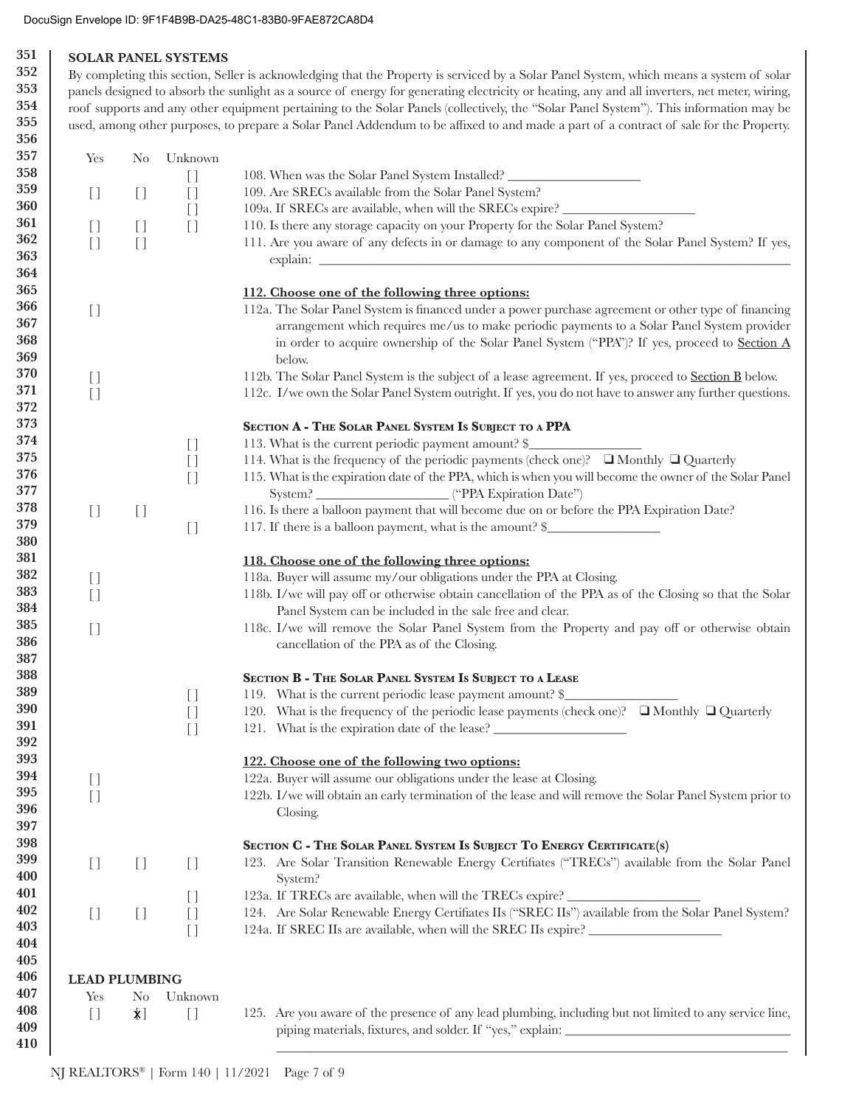#### **351 352 SOLAR PANEL SYSTEMS**

**353 354 355** By completing this section, Seller is acknowledging that the Property is serviced by a Solar Panel System, which means a system of solar panels designed to absorb the sunlight as a source of energy for generating electricity or heating, any and all inverters, net meter, wiring, roof supports and any other equipment pertaining to the Solar Panels (collectively, the "Solar Panel System"). This information may be used, among other purposes, to prepare a Solar Panel Addendum to be affixed to and made a part of a contract of sale for the Property.

| Yes                                        | N <sub>0</sub>                    | Unknown                                |                                                                                                                                                                                                                                                                                                                       |
|--------------------------------------------|-----------------------------------|----------------------------------------|-----------------------------------------------------------------------------------------------------------------------------------------------------------------------------------------------------------------------------------------------------------------------------------------------------------------------|
|                                            |                                   | $[$                                    | 108. When was the Solar Panel System Installed?                                                                                                                                                                                                                                                                       |
| $[ \ ]$                                    | $[ \ ]$                           | $\begin{bmatrix} 1 \end{bmatrix}$      | 109. Are SRECs available from the Solar Panel System?                                                                                                                                                                                                                                                                 |
|                                            |                                   | $[$                                    | 109a. If SRECs are available, when will the SRECs expire?                                                                                                                                                                                                                                                             |
| $[ \ ]$                                    | $\begin{bmatrix} 1 \end{bmatrix}$ | $\begin{bmatrix} 1 \end{bmatrix}$      | 110. Is there any storage capacity on your Property for the Solar Panel System?                                                                                                                                                                                                                                       |
| $[ \ ]$                                    | $[$                               |                                        | 111. Are you aware of any defects in or damage to any component of the Solar Panel System? If yes,                                                                                                                                                                                                                    |
|                                            |                                   |                                        | 112. Choose one of the following three options:                                                                                                                                                                                                                                                                       |
| $[ \ ]$                                    |                                   |                                        | 112a. The Solar Panel System is financed under a power purchase agreement or other type of financing<br>arrangement which requires me/us to make periodic payments to a Solar Panel System provider<br>in order to acquire ownership of the Solar Panel System ("PPA")? If yes, proceed to <b>Section A</b><br>below. |
| $\begin{bmatrix} 1 \end{bmatrix}$<br>$[ ]$ |                                   |                                        | 112b. The Solar Panel System is the subject of a lease agreement. If yes, proceed to <b>Section B</b> below.<br>112c. I/we own the Solar Panel System outright. If yes, you do not have to answer any further questions.                                                                                              |
|                                            |                                   |                                        | SECTION A - THE SOLAR PANEL SYSTEM IS SUBJECT TO A PPA                                                                                                                                                                                                                                                                |
|                                            |                                   | $\Box$                                 | 113. What is the current periodic payment amount? \$                                                                                                                                                                                                                                                                  |
|                                            |                                   | $\begin{array}{c} \square \end{array}$ | 114. What is the frequency of the periodic payments (check one)? $\Box$ Monthly $\Box$ Quarterly                                                                                                                                                                                                                      |
|                                            |                                   | $[$                                    | 115. What is the expiration date of the PPA, which is when you will become the owner of the Solar Panel                                                                                                                                                                                                               |
|                                            |                                   |                                        | 116. Is there a balloon payment that will become due on or before the PPA Expiration Date?                                                                                                                                                                                                                            |
| $[ \ ]$                                    | $[$                               | $\begin{array}{c} \square \end{array}$ | 117. If there is a balloon payment, what is the amount? \$                                                                                                                                                                                                                                                            |
|                                            |                                   |                                        |                                                                                                                                                                                                                                                                                                                       |
|                                            |                                   |                                        | 118. Choose one of the following three options:                                                                                                                                                                                                                                                                       |
| $\begin{bmatrix} 1 \end{bmatrix}$          |                                   |                                        | 118a. Buyer will assume my/our obligations under the PPA at Closing.                                                                                                                                                                                                                                                  |
| $[ \ ]$                                    |                                   |                                        | 118b. I/we will pay off or otherwise obtain cancellation of the PPA as of the Closing so that the Solar                                                                                                                                                                                                               |
|                                            |                                   |                                        | Panel System can be included in the sale free and clear.                                                                                                                                                                                                                                                              |
| $[ \ ]$                                    |                                   |                                        | 118c. I/we will remove the Solar Panel System from the Property and pay off or otherwise obtain<br>cancellation of the PPA as of the Closing.                                                                                                                                                                         |
|                                            |                                   |                                        | SECTION B - THE SOLAR PANEL SYSTEM IS SUBJECT TO A LEASE                                                                                                                                                                                                                                                              |
|                                            |                                   | $\Box$                                 | 119. What is the current periodic lease payment amount? \$_                                                                                                                                                                                                                                                           |
|                                            |                                   | $[ \ ]$                                | 120. What is the frequency of the periodic lease payments (check one)? $\Box$ Monthly $\Box$ Quarterly                                                                                                                                                                                                                |
|                                            |                                   | $\begin{array}{c} \square \end{array}$ | 121. What is the expiration date of the lease?                                                                                                                                                                                                                                                                        |
|                                            |                                   |                                        | 122. Choose one of the following two options:                                                                                                                                                                                                                                                                         |
| $\begin{array}{c} \square \end{array}$     |                                   |                                        | 122a. Buyer will assume our obligations under the lease at Closing.                                                                                                                                                                                                                                                   |
| $[ \ ]$                                    |                                   |                                        | 122b. I/we will obtain an early termination of the lease and will remove the Solar Panel System prior to                                                                                                                                                                                                              |
|                                            |                                   |                                        | Closing.                                                                                                                                                                                                                                                                                                              |
|                                            |                                   |                                        | SECTION C - THE SOLAR PANEL SYSTEM IS SUBJECT TO ENERGY CERTIFICATE(S)                                                                                                                                                                                                                                                |
| $\begin{bmatrix} 1 \end{bmatrix}$          | $[ \ ]$                           | $\begin{array}{c} \square \end{array}$ | 123. Are Solar Transition Renewable Energy Certifiates ("TRECs") available from the Solar Panel<br>System?                                                                                                                                                                                                            |
|                                            |                                   | $\begin{array}{c} \square \end{array}$ | 123a. If TRECs are available, when will the TRECs expire?                                                                                                                                                                                                                                                             |
| $\begin{bmatrix} 1 \end{bmatrix}$          | $\begin{bmatrix} 1 \end{bmatrix}$ | $\begin{array}{c} \square \end{array}$ | 124. Are Solar Renewable Energy Certifiates IIs ("SREC IIs") available from the Solar Panel System?                                                                                                                                                                                                                   |
|                                            |                                   | $\begin{array}{c} \square \end{array}$ | 124a. If SREC IIs are available, when will the SREC IIs expire? _________________                                                                                                                                                                                                                                     |
| <b>LEAD PLUMBING</b>                       |                                   |                                        |                                                                                                                                                                                                                                                                                                                       |
| Yes                                        | N <sub>0</sub>                    | Unknown                                |                                                                                                                                                                                                                                                                                                                       |
| $\begin{array}{c} \square \end{array}$     | $\mathbf{x}$ ]                    | $\begin{array}{c} \square \end{array}$ | 125. Are you aware of the presence of any lead plumbing, including but not limited to any service line,                                                                                                                                                                                                               |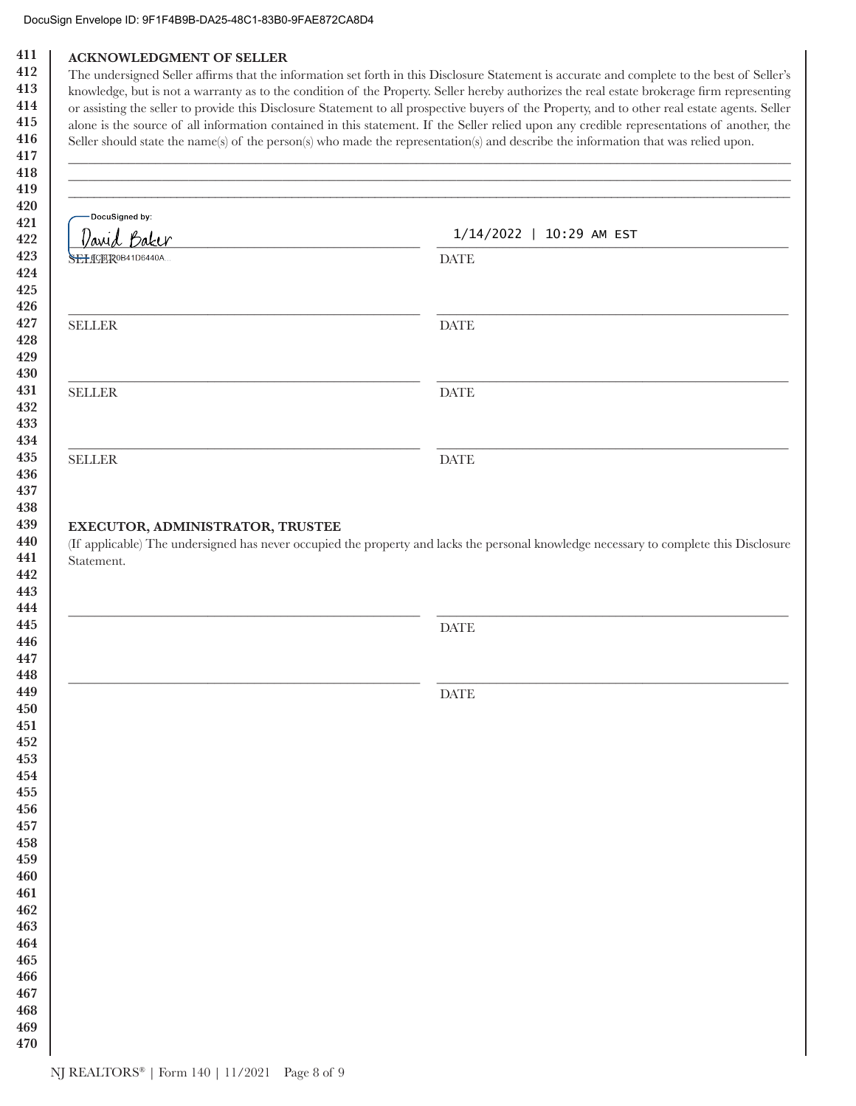411 **ACKNOWLEDGMENT OF SELLER** 

412 The undersigned Seller affirms that the information set forth in this Disclosure Statement is accurate and complete to the best of Seller's 413 knowledge, but is not a warranty as to the condition of the Property. Seller hereby authorizes the real estate brokerage firm representing 414 or assisting the seller to provide this Disclosure Statement to all prospective buyers of the Property, and to other real estate agents. Seller 415 alone is the source of all information contained in this statement. If the Seller relied upon any credible representations of another, the 416 Seller should state the name(s) of the person(s) who made the representation(s) and describe the information that was relied upon.

| avid Baker<br><u> 1989 - Johann Barbara, martxa amerikan personal (</u> |                                                                                                                                                                        |
|-------------------------------------------------------------------------|------------------------------------------------------------------------------------------------------------------------------------------------------------------------|
|                                                                         | 1/14/2022   10:29 AM EST                                                                                                                                               |
| SEL COPROB41D6440A                                                      | <b>DATE</b>                                                                                                                                                            |
| <b>SELLER</b>                                                           | $\ensuremath{\mathsf{DATE}}$                                                                                                                                           |
| <b>SELLER</b>                                                           | $\ensuremath{\mathsf{DATE}}$                                                                                                                                           |
| <b>SELLER</b>                                                           | $\ensuremath{\mathsf{DATE}}$                                                                                                                                           |
| EXECUTOR, ADMINISTRATOR, TRUSTEE<br>Statement.                          | (If applicable) The undersigned has never occupied the property and lacks the personal knowledge necessary to complete this Disclosure<br>$\ensuremath{\mathsf{DATE}}$ |
|                                                                         | $\ensuremath{\mathsf{DATE}}$                                                                                                                                           |
|                                                                         |                                                                                                                                                                        |
|                                                                         |                                                                                                                                                                        |
|                                                                         |                                                                                                                                                                        |
|                                                                         |                                                                                                                                                                        |
|                                                                         |                                                                                                                                                                        |
|                                                                         |                                                                                                                                                                        |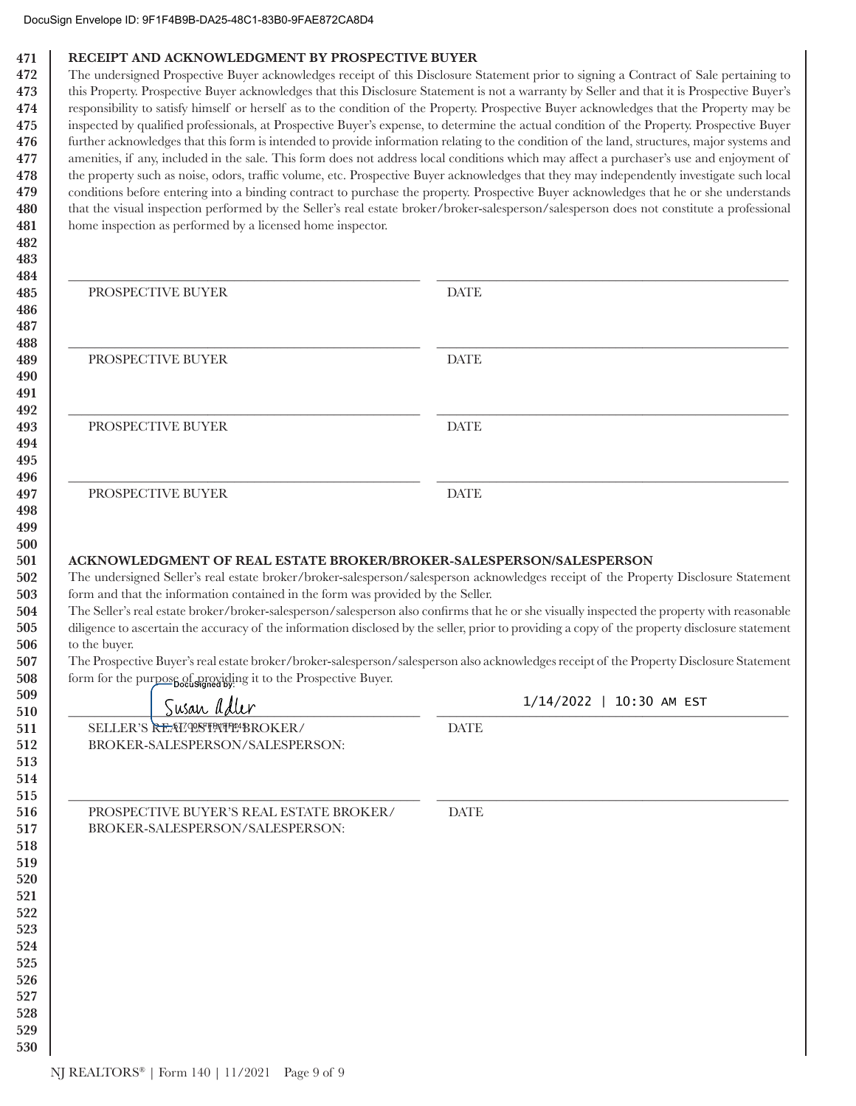#### RECEIPT AND ACKNOWLEDGMENT BY PROSPECTIVE BUYER

The undersigned Prospective Buyer acknowledges receipt of this Disclosure Statement prior to signing a Contract of Sale pertaining to this Property. Prospective Buyer acknowledges that this Disclosure Statement is not a warranty by Seller and that it is Prospective Buyer's responsibility to satisfy himself or herself as to the condition of the Property. Prospective Buyer acknowledges that the Property may be inspected by qualified professionals, at Prospective Buyer's expense, to determine the actual condition of the Property. Prospective Buyer further acknowledges that this form is intended to provide information relating to the condition of the land, structures, major systems and amenities, if any included in the sale. This form does not address local conditions which may affect a purchaser's use and enjoyment of the property such as noise, odors, traffic volume, etc. Prospective Buyer acknowledges that they may independently investigate such local conditions before entering into a binding contract to purchase the property. Prospective Buyer acknowledges that he or she understands that the visual inspection performed by the Seller's real estate broker/broker-salesperson/salesperson does not constitute a professional home inspection as performed by a licensed home inspector.

| <b>DATE</b> |                                                                                                                                                                                                                                                                                                                                                                                                                                                                                                                                                          |
|-------------|----------------------------------------------------------------------------------------------------------------------------------------------------------------------------------------------------------------------------------------------------------------------------------------------------------------------------------------------------------------------------------------------------------------------------------------------------------------------------------------------------------------------------------------------------------|
| <b>DATE</b> |                                                                                                                                                                                                                                                                                                                                                                                                                                                                                                                                                          |
| DATA        |                                                                                                                                                                                                                                                                                                                                                                                                                                                                                                                                                          |
|             |                                                                                                                                                                                                                                                                                                                                                                                                                                                                                                                                                          |
|             |                                                                                                                                                                                                                                                                                                                                                                                                                                                                                                                                                          |
| <b>DATE</b> |                                                                                                                                                                                                                                                                                                                                                                                                                                                                                                                                                          |
| <b>DATE</b> | form and that the information contained in the form was provided by the Seller.<br>The Seller's real estate broker/broker-salesperson/salesperson also confirms that he or she visually inspected the property with reasonable<br>diligence to ascertain the accuracy of the information disclosed by the seller, prior to providing a copy of the property disclosure statement<br>The Prospective Buyer's real estate broker/broker-salesperson/salesperson also acknowledges receipt of the Property Disclosure Statement<br>1/14/2022   10:30 AM EST |